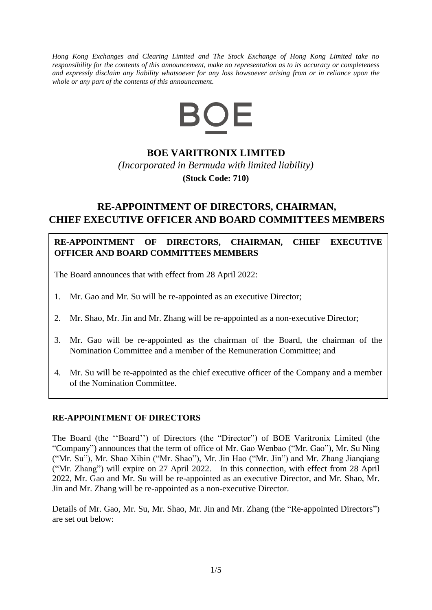*Hong Kong Exchanges and Clearing Limited and The Stock Exchange of Hong Kong Limited take no responsibility for the contents of this announcement, make no representation as to its accuracy or completeness and expressly disclaim any liability whatsoever for any loss howsoever arising from or in reliance upon the whole or any part of the contents of this announcement.*



# **BOE VARITRONIX LIMITED**

*(Incorporated in Bermuda with limited liability)* **(Stock Code: 710)**

# **RE-APPOINTMENT OF DIRECTORS, CHAIRMAN, CHIEF EXECUTIVE OFFICER AND BOARD COMMITTEES MEMBERS**

# **RE-APPOINTMENT OF DIRECTORS, CHAIRMAN, CHIEF EXECUTIVE OFFICER AND BOARD COMMITTEES MEMBERS**

The Board announces that with effect from 28 April 2022:

- 1. Mr. Gao and Mr. Su will be re-appointed as an executive Director;
- 2. Mr. Shao, Mr. Jin and Mr. Zhang will be re-appointed as a non-executive Director;
- 3. Mr. Gao will be re-appointed as the chairman of the Board, the chairman of the Nomination Committee and a member of the Remuneration Committee; and
- 4. Mr. Su will be re-appointed as the chief executive officer of the Company and a member of the Nomination Committee.

#### **RE-APPOINTMENT OF DIRECTORS**

The Board (the ''Board'') of Directors (the "Director") of BOE Varitronix Limited (the "Company") announces that the term of office of Mr. Gao Wenbao ("Mr. Gao"), Mr. Su Ning ("Mr. Su"), Mr. Shao Xibin ("Mr. Shao"), Mr. Jin Hao ("Mr. Jin") and Mr. Zhang Jianqiang ("Mr. Zhang") will expire on 27 April 2022. In this connection, with effect from 28 April 2022, Mr. Gao and Mr. Su will be re-appointed as an executive Director, and Mr. Shao, Mr. Jin and Mr. Zhang will be re-appointed as a non-executive Director.

Details of Mr. Gao, Mr. Su, Mr. Shao, Mr. Jin and Mr. Zhang (the "Re-appointed Directors") are set out below: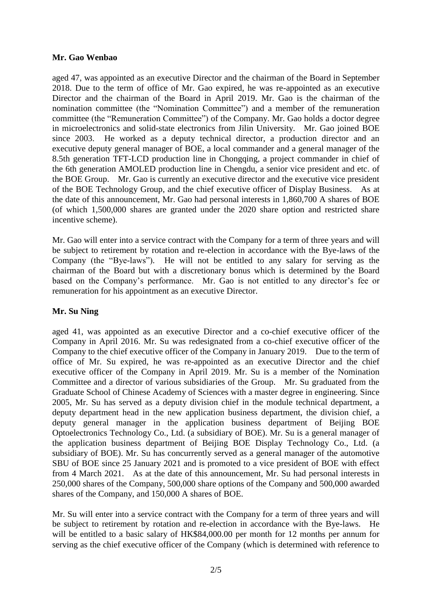### **Mr. Gao Wenbao**

aged 47, was appointed as an executive Director and the chairman of the Board in September 2018. Due to the term of office of Mr. Gao expired, he was re-appointed as an executive Director and the chairman of the Board in April 2019. Mr. Gao is the chairman of the nomination committee (the "Nomination Committee") and a member of the remuneration committee (the "Remuneration Committee") of the Company. Mr. Gao holds a doctor degree in microelectronics and solid-state electronics from Jilin University. Mr. Gao joined BOE since 2003. He worked as a deputy technical director, a production director and an executive deputy general manager of BOE, a local commander and a general manager of the 8.5th generation TFT-LCD production line in Chongqing, a project commander in chief of the 6th generation AMOLED production line in Chengdu, a senior vice president and etc. of the BOE Group. Mr. Gao is currently an executive director and the executive vice president of the BOE Technology Group, and the chief executive officer of Display Business. As at the date of this announcement, Mr. Gao had personal interests in 1,860,700 A shares of BOE (of which 1,500,000 shares are granted under the 2020 share option and restricted share incentive scheme).

Mr. Gao will enter into a service contract with the Company for a term of three years and will be subject to retirement by rotation and re-election in accordance with the Bye-laws of the Company (the "Bye-laws"). He will not be entitled to any salary for serving as the chairman of the Board but with a discretionary bonus which is determined by the Board based on the Company's performance. Mr. Gao is not entitled to any director's fee or remuneration for his appointment as an executive Director.

#### **Mr. Su Ning**

aged 41, was appointed as an executive Director and a co-chief executive officer of the Company in April 2016. Mr. Su was redesignated from a co-chief executive officer of the Company to the chief executive officer of the Company in January 2019. Due to the term of office of Mr. Su expired, he was re-appointed as an executive Director and the chief executive officer of the Company in April 2019. Mr. Su is a member of the Nomination Committee and a director of various subsidiaries of the Group. Mr. Su graduated from the Graduate School of Chinese Academy of Sciences with a master degree in engineering. Since 2005, Mr. Su has served as a deputy division chief in the module technical department, a deputy department head in the new application business department, the division chief, a deputy general manager in the application business department of Beijing BOE Optoelectronics Technology Co., Ltd. (a subsidiary of BOE). Mr. Su is a general manager of the application business department of Beijing BOE Display Technology Co., Ltd. (a subsidiary of BOE). Mr. Su has concurrently served as a general manager of the automotive SBU of BOE since 25 January 2021 and is promoted to a vice president of BOE with effect from 4 March 2021. As at the date of this announcement, Mr. Su had personal interests in 250,000 shares of the Company, 500,000 share options of the Company and 500,000 awarded shares of the Company, and 150,000 A shares of BOE.

Mr. Su will enter into a service contract with the Company for a term of three years and will be subject to retirement by rotation and re-election in accordance with the Bye-laws. He will be entitled to a basic salary of HK\$84,000.00 per month for 12 months per annum for serving as the chief executive officer of the Company (which is determined with reference to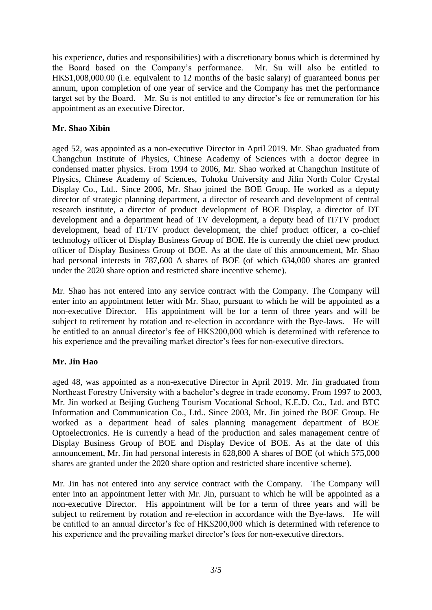his experience, duties and responsibilities) with a discretionary bonus which is determined by the Board based on the Company's performance. Mr. Su will also be entitled to HK\$1,008,000.00 (i.e. equivalent to 12 months of the basic salary) of guaranteed bonus per annum, upon completion of one year of service and the Company has met the performance target set by the Board. Mr. Su is not entitled to any director's fee or remuneration for his appointment as an executive Director.

## **Mr. Shao Xibin**

aged 52, was appointed as a non-executive Director in April 2019. Mr. Shao graduated from Changchun Institute of Physics, Chinese Academy of Sciences with a doctor degree in condensed matter physics. From 1994 to 2006, Mr. Shao worked at Changchun Institute of Physics, Chinese Academy of Sciences, Tohoku University and Jilin North Color Crystal Display Co., Ltd.. Since 2006, Mr. Shao joined the BOE Group. He worked as a deputy director of strategic planning department, a director of research and development of central research institute, a director of product development of BOE Display, a director of DT development and a department head of TV development, a deputy head of IT/TV product development, head of IT/TV product development, the chief product officer, a co-chief technology officer of Display Business Group of BOE. He is currently the chief new product officer of Display Business Group of BOE. As at the date of this announcement, Mr. Shao had personal interests in 787,600 A shares of BOE (of which 634,000 shares are granted under the 2020 share option and restricted share incentive scheme).

Mr. Shao has not entered into any service contract with the Company. The Company will enter into an appointment letter with Mr. Shao, pursuant to which he will be appointed as a non-executive Director. His appointment will be for a term of three years and will be subject to retirement by rotation and re-election in accordance with the Bye-laws. He will be entitled to an annual director's fee of HK\$200,000 which is determined with reference to his experience and the prevailing market director's fees for non-executive directors.

# **Mr. Jin Hao**

aged 48, was appointed as a non-executive Director in April 2019. Mr. Jin graduated from Northeast Forestry University with a bachelor's degree in trade economy. From 1997 to 2003, Mr. Jin worked at Beijing Gucheng Tourism Vocational School, K.E.D. Co., Ltd. and BTC Information and Communication Co., Ltd.. Since 2003, Mr. Jin joined the BOE Group. He worked as a department head of sales planning management department of BOE Optoelectronics. He is currently a head of the production and sales management centre of Display Business Group of BOE and Display Device of BOE. As at the date of this announcement, Mr. Jin had personal interests in 628,800 A shares of BOE (of which 575,000 shares are granted under the 2020 share option and restricted share incentive scheme).

Mr. Jin has not entered into any service contract with the Company. The Company will enter into an appointment letter with Mr. Jin, pursuant to which he will be appointed as a non-executive Director. His appointment will be for a term of three years and will be subject to retirement by rotation and re-election in accordance with the Bye-laws. He will be entitled to an annual director's fee of HK\$200,000 which is determined with reference to his experience and the prevailing market director's fees for non-executive directors.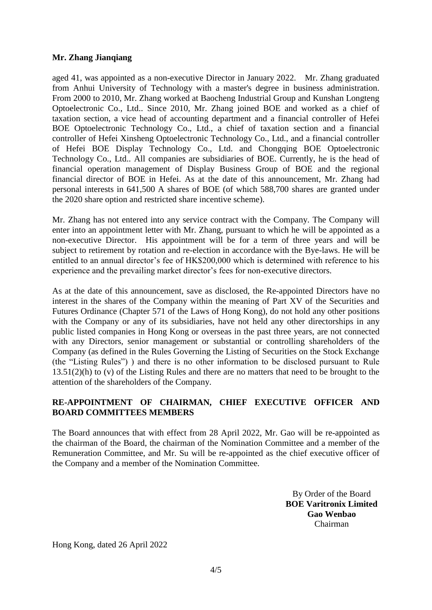### **Mr. Zhang Jianqiang**

aged 41, was appointed as a non-executive Director in January 2022. Mr. Zhang graduated from Anhui University of Technology with a master's degree in business administration. From 2000 to 2010, Mr. Zhang worked at Baocheng Industrial Group and Kunshan Longteng Optoelectronic Co., Ltd.. Since 2010, Mr. Zhang joined BOE and worked as a chief of taxation section, a vice head of accounting department and a financial controller of Hefei BOE Optoelectronic Technology Co., Ltd., a chief of taxation section and a financial controller of Hefei Xinsheng Optoelectronic Technology Co., Ltd., and a financial controller of Hefei BOE Display Technology Co., Ltd. and Chongqing BOE Optoelectronic Technology Co., Ltd.. All companies are subsidiaries of BOE. Currently, he is the head of financial operation management of Display Business Group of BOE and the regional financial director of BOE in Hefei. As at the date of this announcement, Mr. Zhang had personal interests in 641,500 A shares of BOE (of which 588,700 shares are granted under the 2020 share option and restricted share incentive scheme).

Mr. Zhang has not entered into any service contract with the Company. The Company will enter into an appointment letter with Mr. Zhang, pursuant to which he will be appointed as a non-executive Director. His appointment will be for a term of three years and will be subject to retirement by rotation and re-election in accordance with the Bye-laws. He will be entitled to an annual director's fee of HK\$200,000 which is determined with reference to his experience and the prevailing market director's fees for non-executive directors.

As at the date of this announcement, save as disclosed, the Re-appointed Directors have no interest in the shares of the Company within the meaning of Part XV of the Securities and Futures Ordinance (Chapter 571 of the Laws of Hong Kong), do not hold any other positions with the Company or any of its subsidiaries, have not held any other directorships in any public listed companies in Hong Kong or overseas in the past three years, are not connected with any Directors, senior management or substantial or controlling shareholders of the Company (as defined in the Rules Governing the Listing of Securities on the Stock Exchange (the "Listing Rules") ) and there is no other information to be disclosed pursuant to Rule 13.51(2)(h) to (v) of the Listing Rules and there are no matters that need to be brought to the attention of the shareholders of the Company.

### **RE-APPOINTMENT OF CHAIRMAN, CHIEF EXECUTIVE OFFICER AND BOARD COMMITTEES MEMBERS**

The Board announces that with effect from 28 April 2022, Mr. Gao will be re-appointed as the chairman of the Board, the chairman of the Nomination Committee and a member of the Remuneration Committee, and Mr. Su will be re-appointed as the chief executive officer of the Company and a member of the Nomination Committee.

> By Order of the Board **BOE Varitronix Limited Gao Wenbao** Chairman

Hong Kong, dated 26 April 2022